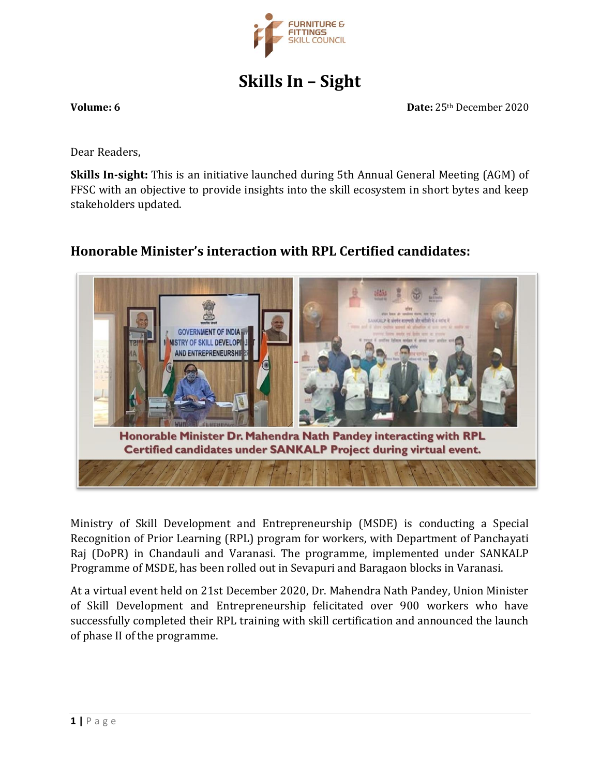

# **Skills In – Sight**

**Volume: 6 Date:** 25th December 2020

Dear Readers,

**Skills In-sight:** This is an initiative launched during 5th Annual General Meeting (AGM) of FFSC with an objective to provide insights into the skill ecosystem in short bytes and keep stakeholders updated.

### **Honorable Minister's interaction with RPL Certified candidates:**



Ministry of Skill Development and Entrepreneurship (MSDE) is conducting a Special Recognition of Prior Learning (RPL) program for workers, with Department of Panchayati Raj (DoPR) in Chandauli and Varanasi. The programme, implemented under SANKALP Programme of MSDE, has been rolled out in Sevapuri and Baragaon blocks in Varanasi.

At a virtual event held on 21st December 2020, Dr. Mahendra Nath Pandey, Union Minister of Skill Development and Entrepreneurship felicitated over 900 workers who have successfully completed their RPL training with skill certification and announced the launch of phase II of the programme.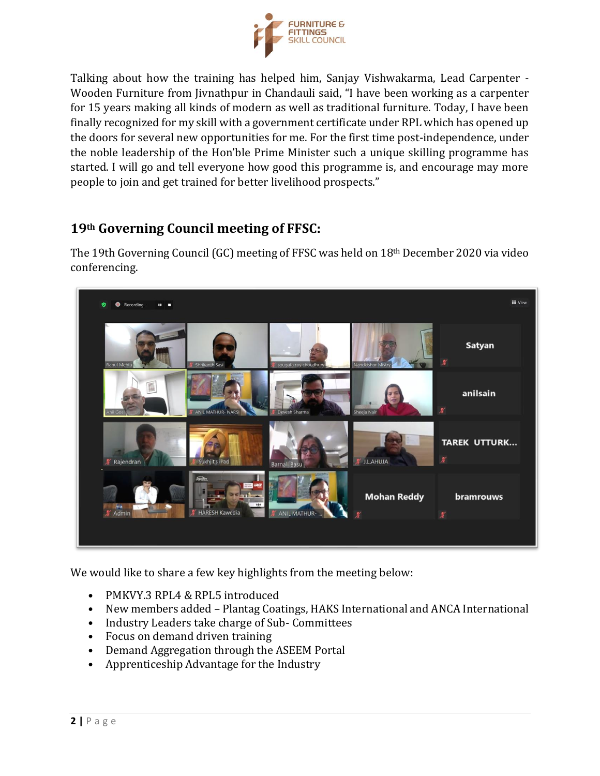

Talking about how the training has helped him, Sanjay Vishwakarma, Lead Carpenter - Wooden Furniture from Jivnathpur in Chandauli said, "I have been working as a carpenter for 15 years making all kinds of modern as well as traditional furniture. Today, I have been finally recognized for my skill with a government certificate under RPL which has opened up the doors for several new opportunities for me. For the first time post-independence, under the noble leadership of the Hon'ble Prime Minister such a unique skilling programme has started. I will go and tell everyone how good this programme is, and encourage may more people to join and get trained for better livelihood prospects."

### **19th Governing Council meeting of FFSC:**

The 19th Governing Council (GC) meeting of FFSC was held on 18th December 2020 via video conferencing.



We would like to share a few key highlights from the meeting below:

- PMKVY.3 RPL4 & RPL5 introduced
- New members added Plantag Coatings, HAKS International and ANCA International
- Industry Leaders take charge of Sub- Committees
- Focus on demand driven training
- Demand Aggregation through the ASEEM Portal
- Apprenticeship Advantage for the Industry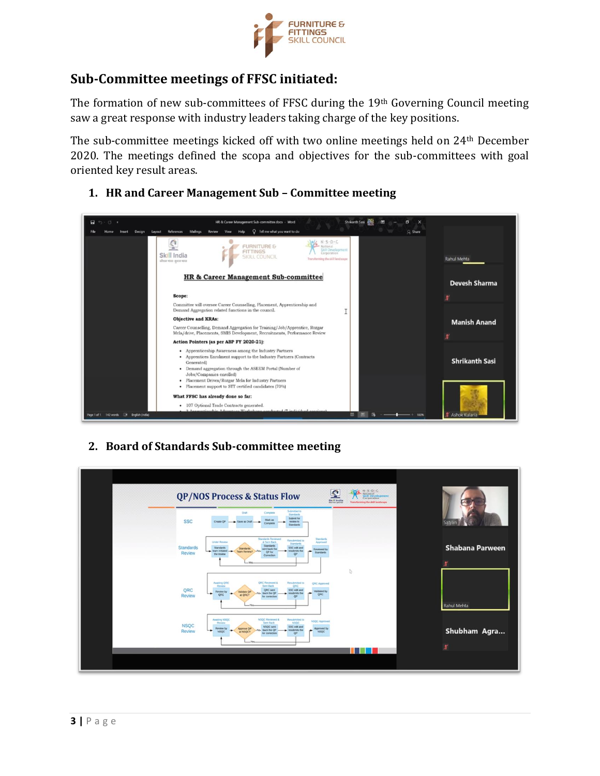

#### **Sub-Committee meetings of FFSC initiated:**

The formation of new sub-committees of FFSC during the 19th Governing Council meeting saw a great response with industry leaders taking charge of the key positions.

The sub-committee meetings kicked off with two online meetings held on 24th December 2020. The meetings defined the scopa and objectives for the sub-committees with goal oriented key result areas.



**1. HR and Career Management Sub – Committee meeting**

#### **2. Board of Standards Sub-committee meeting**

| <b>ALL S-D-C</b><br><b>Company</b><br>Composition<br>$\tilde{\mathbf{Q}}$<br><b>QP/NOS Process &amp; Status Flow</b><br><b>Skill India</b><br>Transforming the skill landscape<br>show not gone may                                                                                                                                                                                                              |                              |
|------------------------------------------------------------------------------------------------------------------------------------------------------------------------------------------------------------------------------------------------------------------------------------------------------------------------------------------------------------------------------------------------------------------|------------------------------|
| Submitted to<br>Draft<br>Complete<br>Standards<br>Submit for<br>Mark as<br><b>SSC</b><br>Create OP<br>Save as Drait -<br>review to<br>Complete<br>Standards                                                                                                                                                                                                                                                      | Satyan                       |
| Standards Reviewed<br>Standards<br>Resubmitted to<br><b>A Sent Back</b><br><b>Under Review</b><br>Approved<br>Standards<br>Standards<br>Standards<br>SSC edit and<br>Standards<br>Standards<br>sent back the<br><b>Reviewed by</b><br>team initiated - Team Review?<br>residents the<br>$N_{\rm bh}$<br>$\overline{\phantom{a}}$<br>OP for<br>Review<br>Standards<br><b>QP</b><br>the review<br>Correction<br>ţ. | <b>Shabana Parween</b><br>¥  |
| <b>ORC Reviewed &amp;</b><br>Awaiting QRC<br>Resubmited to<br><b>QRC Approved</b><br>Sent Back<br>onc<br>Review<br>QRC<br>ORC sent<br>SSC edit and<br>Validated by<br><b>Review by</b><br>Validate OP<br>No. back the OP<br>resubmits the<br>-<br><b>QRC</b><br>QRC<br>Review<br>at QRC?<br>QP<br>for correction                                                                                                 | Rahul Mehta                  |
| NSQC Reviewed &<br>Awating NSQC<br>Resubmitted to<br><b>NSQC Approved</b><br>Serc Back<br>NSQC<br><b>Puntered</b><br><b>NSQC</b><br>NSQC sent<br>SSC edit and<br>Review by<br>Approved by<br>Approve OP<br>-No- back the QP<br>Review<br>resubmits the<br><b>Head</b><br>-<br>NSQC<br>NSQC<br><b>MNSQCT</b><br>QP<br>for correction<br>ш                                                                         | Shubham Agra<br>$\pmb{\chi}$ |
|                                                                                                                                                                                                                                                                                                                                                                                                                  |                              |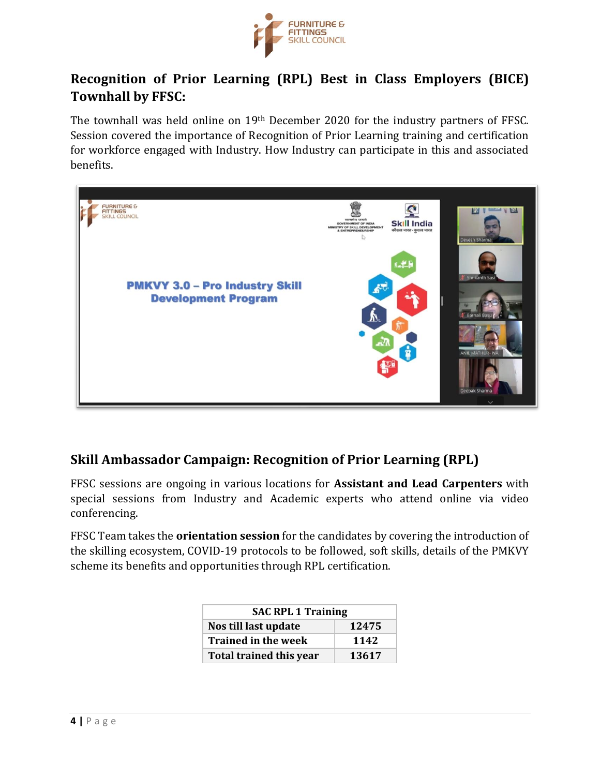

### **Recognition of Prior Learning (RPL) Best in Class Employers (BICE) Townhall by FFSC:**

The townhall was held online on 19th December 2020 for the industry partners of FFSC. Session covered the importance of Recognition of Prior Learning training and certification for workforce engaged with Industry. How Industry can participate in this and associated benefits.



## **Skill Ambassador Campaign: Recognition of Prior Learning (RPL)**

FFSC sessions are ongoing in various locations for **Assistant and Lead Carpenters** with special sessions from Industry and Academic experts who attend online via video conferencing.

FFSC Team takes the **orientation session** for the candidates by covering the introduction of the skilling ecosystem, COVID-19 protocols to be followed, soft skills, details of the PMKVY scheme its benefits and opportunities through RPL certification.

| <b>SAC RPL 1 Training</b>      |       |  |
|--------------------------------|-------|--|
| Nos till last update           | 12475 |  |
| <b>Trained in the week</b>     | 1142  |  |
| <b>Total trained this year</b> | 13617 |  |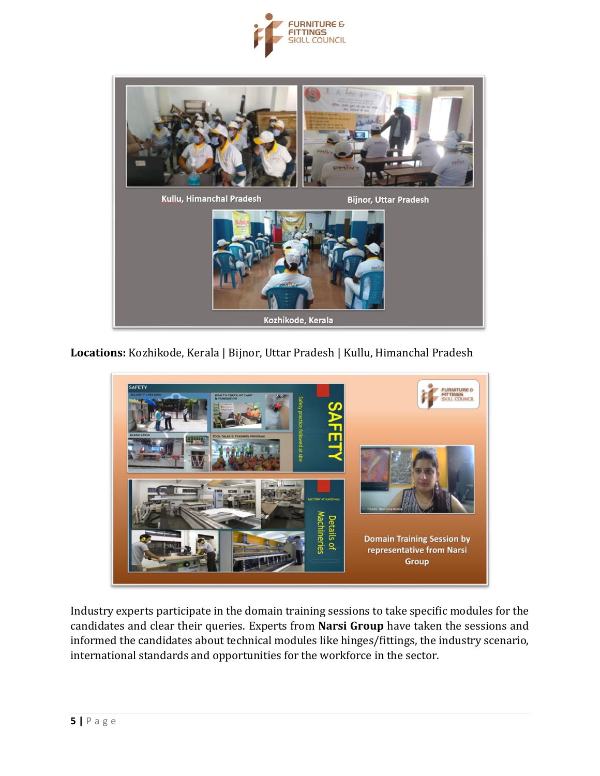



**Locations:** Kozhikode, Kerala | Bijnor, Uttar Pradesh | Kullu, Himanchal Pradesh



Industry experts participate in the domain training sessions to take specific modules for the candidates and clear their queries. Experts from **Narsi Group** have taken the sessions and informed the candidates about technical modules like hinges/fittings, the industry scenario, international standards and opportunities for the workforce in the sector.